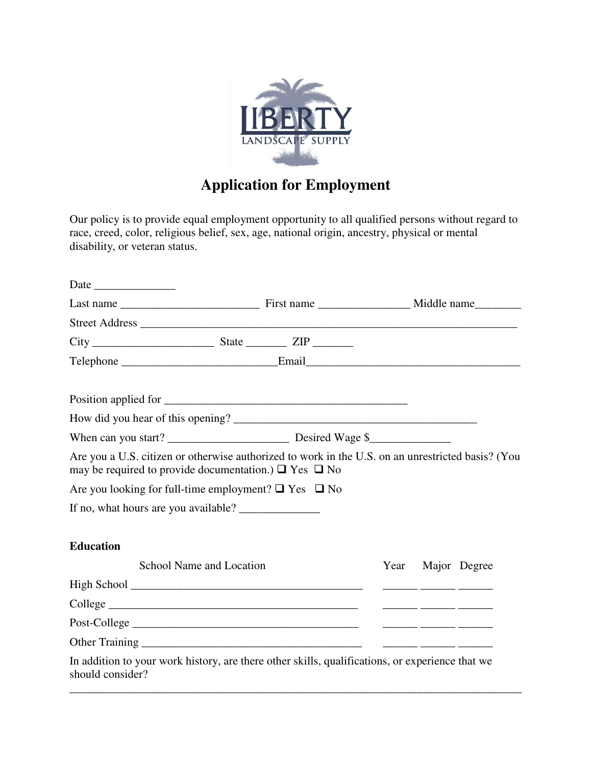

## **Application for Employment**

Our policy is to provide equal employment opportunity to all qualified persons without regard to race, creed, color, religious belief, sex, age, national origin, ancestry, physical or mental disability, or veteran status.

| Are you a U.S. citizen or otherwise authorized to work in the U.S. on an unrestricted basis? (You<br>may be required to provide documentation.) $\Box$ Yes $\Box$ No |  |      |                                         |              |
|----------------------------------------------------------------------------------------------------------------------------------------------------------------------|--|------|-----------------------------------------|--------------|
| Are you looking for full-time employment? $\Box$ Yes $\Box$ No                                                                                                       |  |      |                                         |              |
|                                                                                                                                                                      |  |      |                                         |              |
| <b>Education</b>                                                                                                                                                     |  |      |                                         |              |
| School Name and Location                                                                                                                                             |  | Year |                                         | Major Degree |
|                                                                                                                                                                      |  |      | <u> 2002 - 2003 - 2003 - 2003 - 200</u> |              |
|                                                                                                                                                                      |  |      |                                         |              |
|                                                                                                                                                                      |  |      |                                         |              |
|                                                                                                                                                                      |  |      |                                         |              |
| In addition to your work history, are there other skills, qualifications, or experience that we<br>should consider?                                                  |  |      |                                         |              |

\_\_\_\_\_\_\_\_\_\_\_\_\_\_\_\_\_\_\_\_\_\_\_\_\_\_\_\_\_\_\_\_\_\_\_\_\_\_\_\_\_\_\_\_\_\_\_\_\_\_\_\_\_\_\_\_\_\_\_\_\_\_\_\_\_\_\_\_\_\_\_\_\_\_\_\_\_\_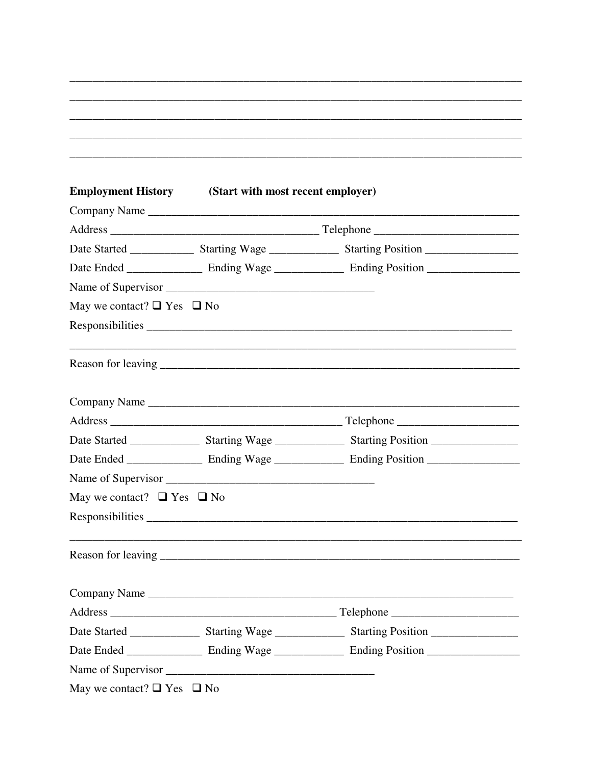|                                      | <b>Employment History</b> (Start with most recent employer) |                                                                                                                |
|--------------------------------------|-------------------------------------------------------------|----------------------------------------------------------------------------------------------------------------|
|                                      |                                                             |                                                                                                                |
|                                      |                                                             |                                                                                                                |
|                                      |                                                             | Date Started __________________ Starting Wage __________________ Starting Position ___________________________ |
|                                      |                                                             |                                                                                                                |
|                                      |                                                             |                                                                                                                |
| May we contact? $\Box$ Yes $\Box$ No |                                                             |                                                                                                                |
|                                      |                                                             |                                                                                                                |
|                                      |                                                             |                                                                                                                |
|                                      |                                                             | Company Name                                                                                                   |
|                                      |                                                             |                                                                                                                |
|                                      |                                                             |                                                                                                                |
|                                      |                                                             |                                                                                                                |
|                                      |                                                             |                                                                                                                |
| May we contact? $\Box$ Yes $\Box$ No |                                                             |                                                                                                                |
|                                      |                                                             |                                                                                                                |
|                                      |                                                             |                                                                                                                |
|                                      |                                                             |                                                                                                                |
|                                      |                                                             |                                                                                                                |
|                                      |                                                             |                                                                                                                |
|                                      |                                                             |                                                                                                                |
|                                      |                                                             |                                                                                                                |

May we contact?  $\Box$  Yes  $\Box$  No